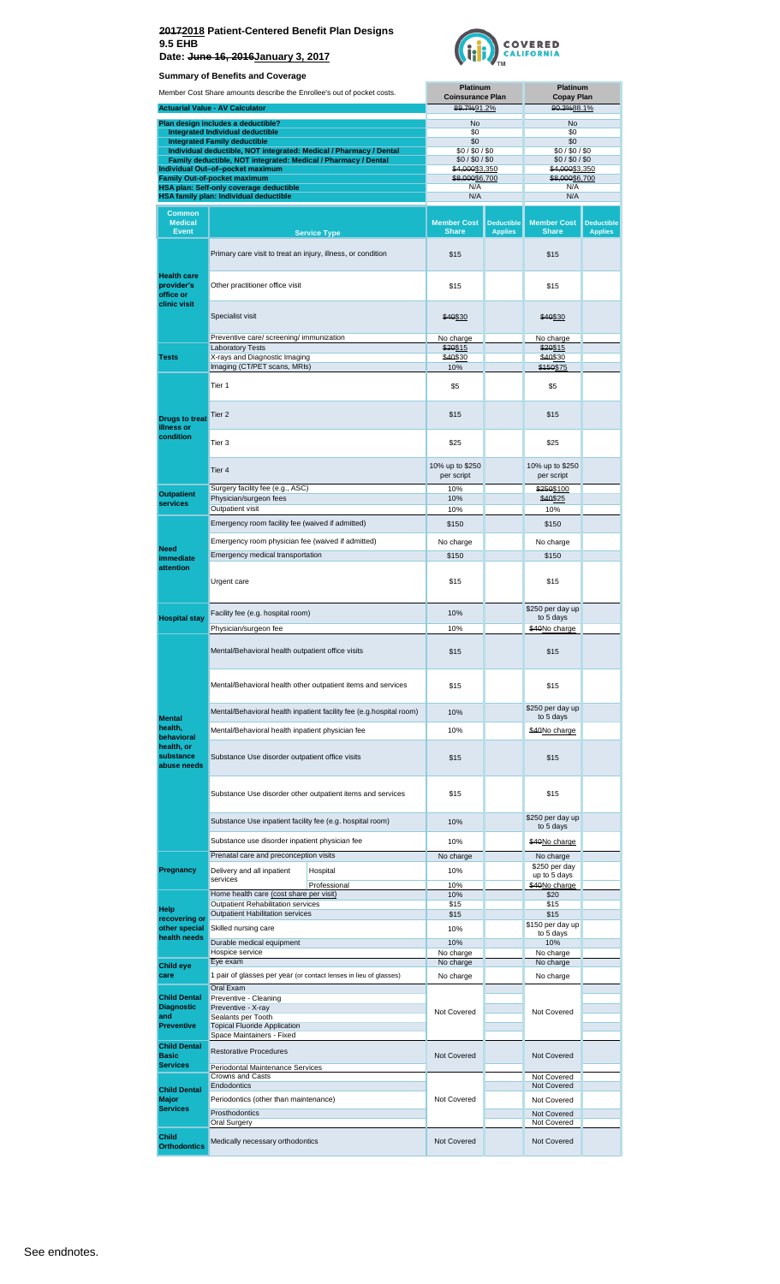

| Member Cost Share amounts describe the Enrollee's out of pocket costs. |                                                                                                    |                               | Platinum<br><b>Coinsurance Plan</b> |                                     | <b>Platinum</b><br><b>Copay Plan</b> |                                     |
|------------------------------------------------------------------------|----------------------------------------------------------------------------------------------------|-------------------------------|-------------------------------------|-------------------------------------|--------------------------------------|-------------------------------------|
|                                                                        | <b>Actuarial Value - AV Calculator</b>                                                             |                               | 89.7%91.2%                          |                                     | 90.3%88.1%                           |                                     |
|                                                                        | Plan design includes a deductible?                                                                 |                               | No                                  |                                     | No                                   |                                     |
|                                                                        | Integrated Individual deductible<br><b>Integrated Family deductible</b>                            |                               | \$0<br>\$0                          |                                     | \$0<br>\$0                           |                                     |
|                                                                        | Individual deductible, NOT integrated: Medical / Pharmacy / Dental                                 |                               | \$0/\$0/\$0                         |                                     | \$0/\$0/\$0                          |                                     |
|                                                                        | Family deductible, NOT integrated: Medical / Pharmacy / Dental<br>Individual Out-of-pocket maximum |                               | \$0/\$0/\$0<br>\$4,000\$3,350       |                                     | \$0/\$0/\$0<br>\$4,000\$3,350        |                                     |
|                                                                        | <b>Family Out-of-pocket maximum</b>                                                                |                               | \$8,000\$6,700                      |                                     | \$8,000\$6,700                       |                                     |
|                                                                        | HSA plan: Self-only coverage deductible<br><b>HSA family plan: Individual deductible</b>           |                               | N/A<br>N/A                          |                                     | N/A<br>N/A                           |                                     |
| Common                                                                 |                                                                                                    |                               |                                     |                                     |                                      |                                     |
| <b>Medical</b><br><b>Event</b>                                         |                                                                                                    | <b>Service Type</b>           | <b>Member Cost</b><br><b>Share</b>  | <b>Deductible</b><br><b>Applies</b> | <b>Member Cost</b><br><b>Share</b>   | <b>Deductible</b><br><b>Applies</b> |
|                                                                        | Primary care visit to treat an injury, illness, or condition                                       |                               | \$15                                |                                     | \$15                                 |                                     |
| <b>Health care</b><br>provider's<br>office or                          | Other practitioner office visit                                                                    | \$15                          |                                     | \$15                                |                                      |                                     |
| clinic visit                                                           | Specialist visit                                                                                   |                               | \$40\$30                            |                                     | \$40\$30                             |                                     |
|                                                                        | Preventive care/ screening/ immunization                                                           |                               | No charge                           |                                     | No charge                            |                                     |
| <b>Tests</b>                                                           | <b>Laboratory Tests</b><br>X-rays and Diagnostic Imaging                                           |                               | \$20\$15<br>\$40\$30                |                                     | \$20\$15<br>\$40\$30                 |                                     |
|                                                                        | Imaging (CT/PET scans, MRIs)                                                                       |                               | 10%                                 |                                     | \$150\$75                            |                                     |
|                                                                        | Tier 1                                                                                             |                               |                                     |                                     | \$5                                  |                                     |
| <b>Drugs to treat</b><br>illness or                                    | Tier 2                                                                                             | \$15                          |                                     | \$15                                |                                      |                                     |
| condition                                                              | Tier 3                                                                                             |                               | \$25                                |                                     | \$25                                 |                                     |
|                                                                        | Tier 4                                                                                             | 10% up to \$250<br>per script |                                     | 10% up to \$250<br>per script       |                                      |                                     |
| <b>Outpatient</b>                                                      | Surgery facility fee (e.g., ASC)<br>Physician/surgeon fees                                         |                               | 10%<br>10%                          |                                     | \$250\$100<br>\$40\$25               |                                     |
| services                                                               | Outpatient visit                                                                                   |                               | 10%                                 |                                     | 10%                                  |                                     |
|                                                                        | Emergency room facility fee (waived if admitted)                                                   |                               | \$150                               |                                     | \$150                                |                                     |
|                                                                        | Emergency room physician fee (waived if admitted)                                                  | No charge                     |                                     | No charge                           |                                      |                                     |
| <b>Need</b><br>immediate                                               | Emergency medical transportation                                                                   |                               | \$150                               |                                     | \$150                                |                                     |
| attention                                                              | Urgent care                                                                                        |                               | \$15                                |                                     | \$15                                 |                                     |
|                                                                        |                                                                                                    |                               |                                     |                                     | \$250 per day up                     |                                     |
| <b>Hospital stay</b>                                                   | Facility fee (e.g. hospital room)                                                                  |                               | 10%                                 |                                     | to 5 days                            |                                     |
|                                                                        | Physician/surgeon fee                                                                              |                               | 10%                                 |                                     | \$40No charge                        |                                     |
|                                                                        | Mental/Behavioral health outpatient office visits                                                  |                               | \$15                                |                                     | \$15                                 |                                     |
|                                                                        | Mental/Behavioral health other outpatient items and services                                       |                               | \$15                                |                                     | \$15                                 |                                     |
|                                                                        | Mental/Behavioral health inpatient facility fee (e.g.hospital room)                                |                               | 10%                                 |                                     | \$250 per day up<br>to 5 days        |                                     |
| <b>Mental</b><br>health,                                               | Mental/Behavioral health inpatient physician fee                                                   |                               | 10%                                 |                                     | \$40No charge                        |                                     |
| behavioral<br>health, or<br>substance                                  | Substance Use disorder outpatient office visits                                                    |                               | \$15                                |                                     | \$15                                 |                                     |
| abuse needs                                                            |                                                                                                    |                               |                                     |                                     |                                      |                                     |
|                                                                        | Substance Use disorder other outpatient items and services                                         | \$15                          |                                     | \$15<br>\$250 per day up            |                                      |                                     |
|                                                                        | Substance Use inpatient facility fee (e.g. hospital room)                                          |                               | 10%                                 |                                     | to 5 days                            |                                     |
|                                                                        | Substance use disorder inpatient physician fee                                                     |                               | 10%                                 |                                     | \$40No charge                        |                                     |
|                                                                        | Prenatal care and preconception visits                                                             |                               | No charge                           |                                     | No charge<br>\$250 per day           |                                     |
| Pregnancy                                                              | Delivery and all inpatient<br>services                                                             | Hospital                      | 10%                                 |                                     | up to 5 days                         |                                     |
|                                                                        | Home health care (cost share per visit)                                                            | Professional                  | 10%<br>10%                          |                                     | \$40No charge<br>\$20                |                                     |
| Help                                                                   | <b>Outpatient Rehabilitation services</b>                                                          |                               | \$15                                |                                     | \$15                                 |                                     |
| recovering or                                                          | <b>Outpatient Habilitation services</b>                                                            |                               | \$15                                |                                     | \$15<br>\$150 per day up             |                                     |
| other special<br>health needs                                          | Skilled nursing care                                                                               |                               | 10%                                 |                                     | to 5 days                            |                                     |
|                                                                        | Durable medical equipment<br>Hospice service                                                       |                               | 10%<br>No charge                    |                                     | 10%<br>No charge                     |                                     |
| <b>Child eye</b>                                                       | Eye exam                                                                                           |                               | No charge                           |                                     | No charge                            |                                     |
| care                                                                   | 1 pair of glasses per year (or contact lenses in lieu of glasses)                                  |                               | No charge                           |                                     | No charge                            |                                     |
| <b>Child Dental</b>                                                    | Oral Exam<br>Preventive - Cleaning                                                                 |                               |                                     |                                     |                                      |                                     |
| <b>Diagnostic</b>                                                      | Preventive - X-ray                                                                                 |                               | Not Covered                         |                                     | Not Covered                          |                                     |
| and<br><b>Preventive</b>                                               | Sealants per Tooth<br><b>Topical Fluoride Application</b>                                          |                               |                                     |                                     |                                      |                                     |
|                                                                        | Space Maintainers - Fixed                                                                          |                               |                                     |                                     |                                      |                                     |
| <b>Child Dental</b><br><b>Basic</b>                                    | <b>Restorative Procedures</b>                                                                      |                               | <b>Not Covered</b>                  |                                     | Not Covered                          |                                     |
| <b>Services</b>                                                        | Periodontal Maintenance Services                                                                   |                               |                                     |                                     |                                      |                                     |
|                                                                        | Crowns and Casts<br>Endodontics                                                                    |                               |                                     |                                     | Not Covered<br>Not Covered           |                                     |
| <b>Child Dental</b><br><b>Major</b>                                    | Periodontics (other than maintenance)                                                              |                               | Not Covered                         |                                     | Not Covered                          |                                     |
| <b>Services</b>                                                        | Prosthodontics                                                                                     |                               |                                     |                                     | Not Covered                          |                                     |
|                                                                        | <b>Oral Surgery</b>                                                                                |                               |                                     |                                     | Not Covered                          |                                     |
| <b>Child</b><br><b>Orthodontics</b>                                    | Medically necessary orthodontics                                                                   |                               | Not Covered                         |                                     | Not Covered                          |                                     |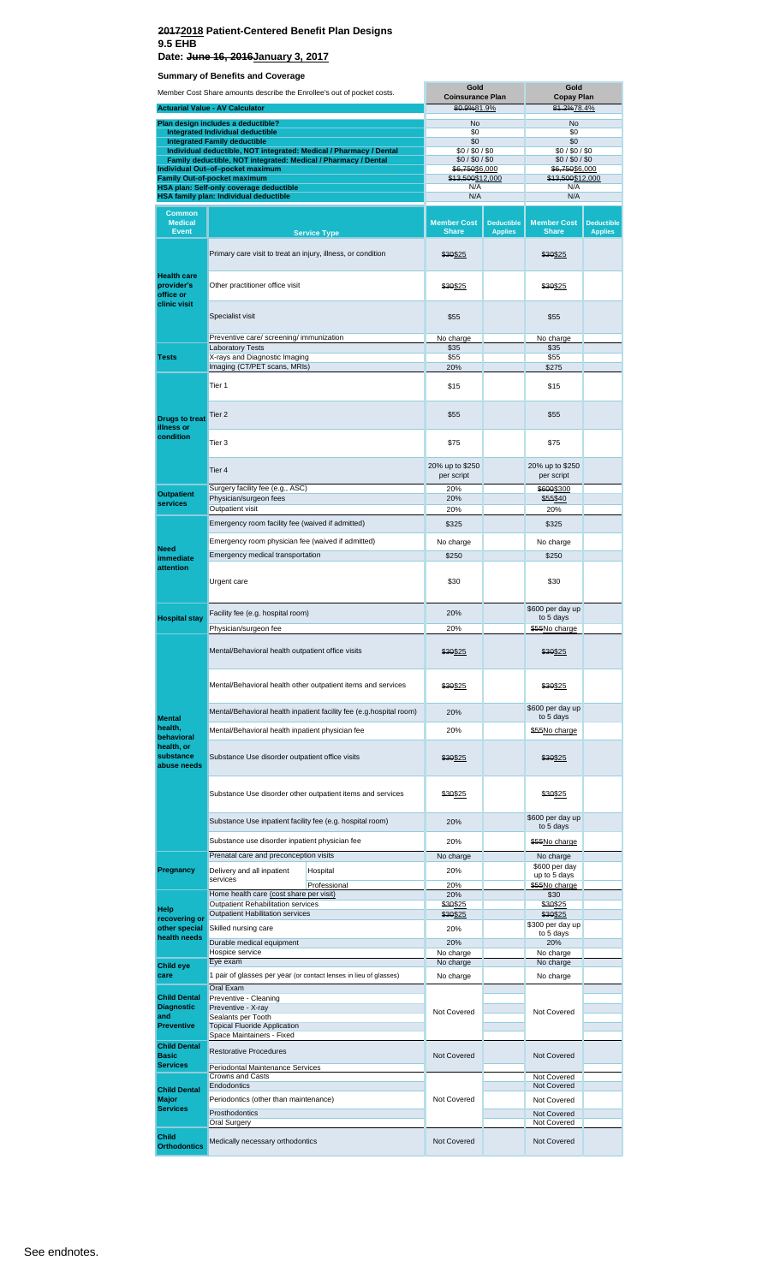**Summary of Benefits and Coverage Date: June 16, 2016January 3, 2017**

| Member Cost Share amounts describe the Enrollee's out of pocket costs. |                                                                                                                                      | Gold<br><b>Coinsurance Plan</b>                                   |                                    | Gold<br><b>Copay Plan</b>           |                                    |                                     |
|------------------------------------------------------------------------|--------------------------------------------------------------------------------------------------------------------------------------|-------------------------------------------------------------------|------------------------------------|-------------------------------------|------------------------------------|-------------------------------------|
|                                                                        | <b>Actuarial Value - AV Calculator</b>                                                                                               |                                                                   | 80.9%81.9%                         |                                     | 81.2%78.4%                         |                                     |
|                                                                        | Plan design includes a deductible?                                                                                                   |                                                                   | No                                 |                                     | No<br>\$0                          |                                     |
|                                                                        | <b>Integrated Individual deductible</b><br><b>Integrated Family deductible</b>                                                       |                                                                   | \$0<br>\$0                         |                                     | \$0                                |                                     |
|                                                                        | Individual deductible, NOT integrated: Medical / Pharmacy / Dental<br>Family deductible, NOT integrated: Medical / Pharmacy / Dental |                                                                   | \$0/\$0/\$0<br>\$0/\$0/\$0         |                                     | \$0/\$0/\$0<br>\$0/\$0/\$0         |                                     |
|                                                                        | Individual Out-of-pocket maximum<br>Family Out-of-pocket maximum                                                                     |                                                                   | \$6,750\$6,000                     |                                     | <del>\$6,750</del> \$6,000         |                                     |
|                                                                        | HSA plan: Self-only coverage deductible                                                                                              |                                                                   | \$13,500\$12,000<br>N/A            |                                     | \$13,500\$12,000<br>N/A            |                                     |
|                                                                        | HSA family plan: Individual deductible                                                                                               |                                                                   | N/A                                |                                     | N/A                                |                                     |
| Common<br><b>Medical</b><br><b>Event</b>                               |                                                                                                                                      | <b>Service Type</b>                                               | <b>Member Cost</b><br><b>Share</b> | <b>Deductible</b><br><b>Applies</b> | <b>Member Cost</b><br><b>Share</b> | <b>Deductible</b><br><b>Applies</b> |
|                                                                        | Primary care visit to treat an injury, illness, or condition                                                                         |                                                                   | \$30\$25                           |                                     | \$30\$25                           |                                     |
| <b>Health care</b><br>provider's<br>office or<br>clinic visit          | Other practitioner office visit                                                                                                      |                                                                   | \$30\$25                           |                                     | \$30\$25                           |                                     |
|                                                                        | Specialist visit                                                                                                                     |                                                                   | \$55                               |                                     | \$55                               |                                     |
|                                                                        | Preventive care/ screening/ immunization<br><b>Laboratory Tests</b>                                                                  |                                                                   | No charge<br>\$35                  |                                     | No charge<br>\$35                  |                                     |
| <b>Tests</b>                                                           | X-rays and Diagnostic Imaging                                                                                                        |                                                                   | \$55<br>20%                        |                                     | \$55                               |                                     |
|                                                                        | Imaging (CT/PET scans, MRIs)                                                                                                         |                                                                   |                                    |                                     | \$275                              |                                     |
|                                                                        | Tier 1                                                                                                                               |                                                                   | \$15                               |                                     | \$15                               |                                     |
| <b>Drugs to treat</b><br>illness or                                    | Tier 2                                                                                                                               |                                                                   |                                    |                                     | \$55                               |                                     |
| condition                                                              | Tier <sub>3</sub>                                                                                                                    |                                                                   | \$75                               |                                     | \$75                               |                                     |
|                                                                        | Tier 4                                                                                                                               | 20% up to \$250<br>per script                                     |                                    | 20% up to \$250<br>per script       |                                    |                                     |
| <b>Outpatient</b>                                                      | Surgery facility fee (e.g., ASC)<br>Physician/surgeon fees                                                                           |                                                                   | 20%<br>20%                         |                                     | \$600\$300<br>\$55\$40             |                                     |
| services                                                               | Outpatient visit                                                                                                                     |                                                                   | 20%                                |                                     | 20%                                |                                     |
|                                                                        | Emergency room facility fee (waived if admitted)                                                                                     | \$325                                                             |                                    | \$325                               |                                    |                                     |
| <b>Need</b>                                                            | Emergency room physician fee (waived if admitted)                                                                                    |                                                                   | No charge                          |                                     | No charge                          |                                     |
| immediate                                                              | Emergency medical transportation                                                                                                     |                                                                   | \$250                              |                                     | \$250                              |                                     |
| attention                                                              | Urgent care                                                                                                                          |                                                                   | \$30                               |                                     | \$30                               |                                     |
|                                                                        | Facility fee (e.g. hospital room)                                                                                                    |                                                                   | 20%                                |                                     | \$600 per day up                   |                                     |
| <b>Hospital stay</b>                                                   | Physician/surgeon fee                                                                                                                |                                                                   | 20%                                |                                     | to 5 days<br>\$55No charge         |                                     |
|                                                                        | Mental/Behavioral health outpatient office visits                                                                                    |                                                                   | \$30\$25                           |                                     | \$30\$25                           |                                     |
|                                                                        | Mental/Behavioral health other outpatient items and services                                                                         |                                                                   | \$30\$25                           |                                     | \$30\$25                           |                                     |
|                                                                        | Mental/Behavioral health inpatient facility fee (e.g.hospital room)                                                                  |                                                                   | 20%                                |                                     | \$600 per day up<br>to 5 days      |                                     |
| <b>Mental</b><br>health,                                               | Mental/Behavioral health inpatient physician fee                                                                                     |                                                                   | 20%                                |                                     | \$55No charge                      |                                     |
| behavioral<br>health, or<br>substance<br>abuse needs                   | Substance Use disorder outpatient office visits                                                                                      |                                                                   | \$30\$25                           |                                     | \$30\$25                           |                                     |
|                                                                        | Substance Use disorder other outpatient items and services                                                                           |                                                                   | \$30\$25                           |                                     | \$30\$25                           |                                     |
|                                                                        | Substance Use inpatient facility fee (e.g. hospital room)                                                                            |                                                                   | 20%                                |                                     | \$600 per day up<br>to 5 days      |                                     |
|                                                                        | Substance use disorder inpatient physician fee                                                                                       |                                                                   | 20%                                |                                     | \$55No charge                      |                                     |
|                                                                        | Prenatal care and preconception visits                                                                                               |                                                                   | No charge                          |                                     | No charge                          |                                     |
| Pregnancy                                                              | Delivery and all inpatient                                                                                                           | Hospital                                                          | 20%                                |                                     | \$600 per day<br>up to 5 days      |                                     |
|                                                                        | services                                                                                                                             | Professional                                                      | 20%                                |                                     | \$55No charge                      |                                     |
|                                                                        | Home health care (cost share per visit)<br>Outpatient Rehabilitation services                                                        |                                                                   | 20%<br>\$30\$25                    |                                     | \$30<br>\$30\$25                   |                                     |
| Help<br>recovering or                                                  | <b>Outpatient Habilitation services</b>                                                                                              |                                                                   | \$30\$25                           |                                     | \$30\$25                           |                                     |
| other special                                                          | Skilled nursing care                                                                                                                 |                                                                   | 20%                                |                                     | \$300 per day up<br>to 5 days      |                                     |
| health needs                                                           | Durable medical equipment                                                                                                            |                                                                   | 20%                                |                                     | 20%                                |                                     |
| <b>Child eye</b>                                                       | Hospice service<br>Eye exam                                                                                                          |                                                                   | No charge<br>No charge             |                                     | No charge<br>No charge             |                                     |
| care                                                                   |                                                                                                                                      | 1 pair of glasses per year (or contact lenses in lieu of glasses) | No charge                          |                                     | No charge                          |                                     |
| <b>Child Dental</b>                                                    | Oral Exam<br>Preventive - Cleaning                                                                                                   |                                                                   |                                    |                                     |                                    |                                     |
| <b>Diagnostic</b>                                                      | Preventive - X-ray                                                                                                                   |                                                                   | Not Covered                        |                                     | Not Covered                        |                                     |
| and<br><b>Preventive</b>                                               | Sealants per Tooth<br><b>Topical Fluoride Application</b>                                                                            |                                                                   |                                    |                                     |                                    |                                     |
|                                                                        | Space Maintainers - Fixed                                                                                                            |                                                                   |                                    |                                     |                                    |                                     |
| <b>Child Dental</b><br><b>Basic</b>                                    | <b>Restorative Procedures</b>                                                                                                        |                                                                   | Not Covered                        |                                     | Not Covered                        |                                     |
| <b>Services</b>                                                        | Periodontal Maintenance Services                                                                                                     |                                                                   |                                    |                                     |                                    |                                     |
| <b>Child Dental</b>                                                    | <b>Crowns and Casts</b><br>Endodontics                                                                                               |                                                                   |                                    |                                     | Not Covered<br>Not Covered         |                                     |
| Major                                                                  | Periodontics (other than maintenance)                                                                                                |                                                                   | Not Covered                        |                                     | Not Covered                        |                                     |
| <b>Services</b>                                                        | Prosthodontics                                                                                                                       |                                                                   |                                    |                                     | Not Covered                        |                                     |
|                                                                        | Oral Surgery                                                                                                                         |                                                                   |                                    |                                     | Not Covered                        |                                     |
| Child<br><b>Orthodontics</b>                                           | Medically necessary orthodontics                                                                                                     |                                                                   | Not Covered                        |                                     | Not Covered                        |                                     |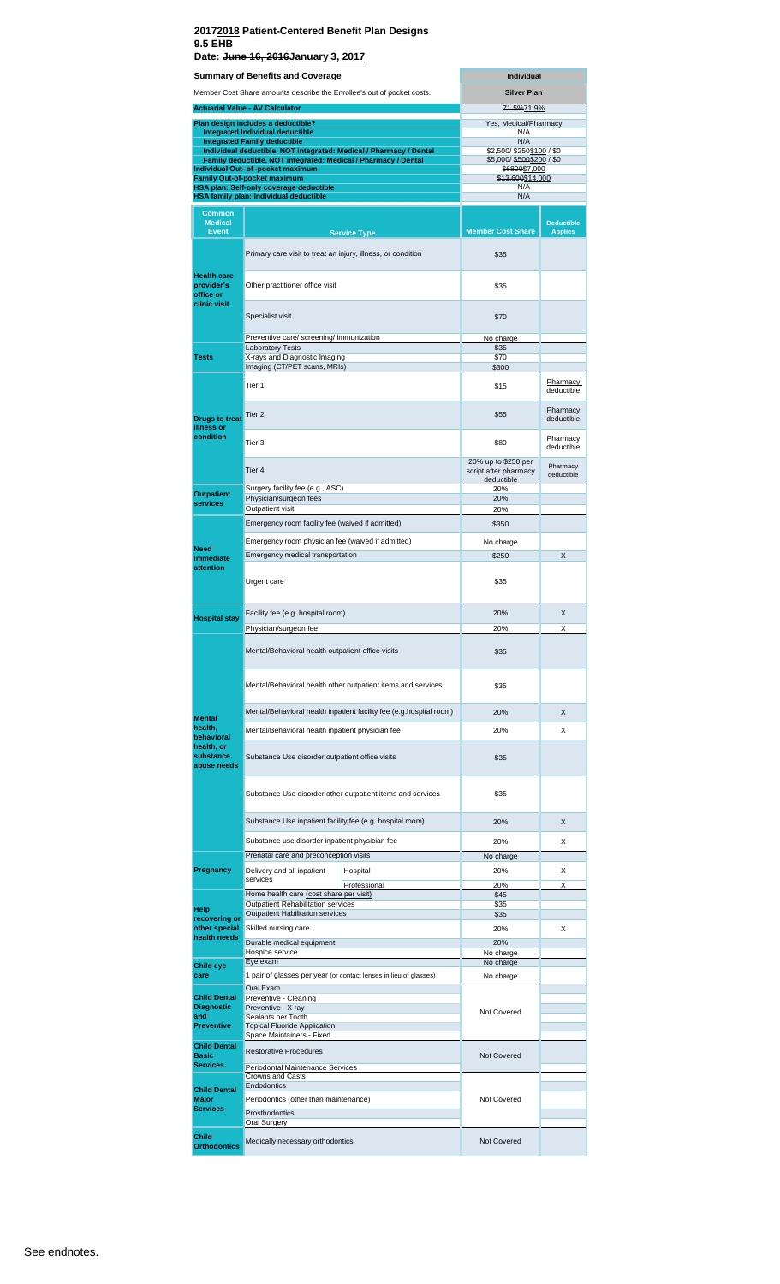r.

|                                                               | Summary of Benefits and Coverage                                                                                                     | <b>Individual</b>                                          |                                     |  |
|---------------------------------------------------------------|--------------------------------------------------------------------------------------------------------------------------------------|------------------------------------------------------------|-------------------------------------|--|
|                                                               | Member Cost Share amounts describe the Enrollee's out of pocket costs.                                                               | <b>Silver Plan</b>                                         |                                     |  |
|                                                               | <b>Actuarial Value - AV Calculator</b>                                                                                               | 71.5%71.9%                                                 |                                     |  |
|                                                               | Plan design includes a deductible?                                                                                                   | Yes, Medical/Pharmacy                                      |                                     |  |
|                                                               | Integrated Individual deductible<br><b>Integrated Family deductible</b>                                                              | N/A<br>N/A                                                 |                                     |  |
|                                                               | Individual deductible, NOT integrated: Medical / Pharmacy / Dental<br>Family deductible, NOT integrated: Medical / Pharmacy / Dental | \$2,500/\$250\$100 / \$0<br>\$5,000/\$500\$200 / \$0       |                                     |  |
|                                                               | Individual Out-of-pocket maximum                                                                                                     | \$6800\$7,000                                              |                                     |  |
|                                                               | Family Out-of-pocket maximum<br><b>HSA plan: Self-only coverage deductible</b>                                                       | \$13,600\$14,000<br>N/A                                    |                                     |  |
|                                                               | HSA family plan: Individual deductible                                                                                               | N/A                                                        |                                     |  |
| <b>Common</b><br><b>Medical</b><br><b>Event</b>               | <b>Service Type</b>                                                                                                                  | <b>Member Cost Share</b>                                   | <b>Deductible</b><br><b>Applies</b> |  |
|                                                               | Primary care visit to treat an injury, illness, or condition                                                                         | \$35                                                       |                                     |  |
| <b>Health care</b><br>provider's<br>office or<br>clinic visit | Other practitioner office visit                                                                                                      | \$35                                                       |                                     |  |
|                                                               | Specialist visit                                                                                                                     | \$70                                                       |                                     |  |
|                                                               | Preventive care/ screening/ immunization                                                                                             | No charge                                                  |                                     |  |
| <b>Tests</b>                                                  | <b>Laboratory Tests</b><br>X-rays and Diagnostic Imaging                                                                             | \$35<br>\$70                                               |                                     |  |
|                                                               | Imaging (CT/PET scans, MRIs)                                                                                                         | \$300                                                      |                                     |  |
|                                                               | Tier 1                                                                                                                               | \$15                                                       | Pharmacy<br>deductible              |  |
| <b>Drugs to treat</b><br>illness or                           | Tier <sub>2</sub>                                                                                                                    | \$55                                                       | Pharmacy<br>deductible              |  |
| condition                                                     | Tier 3                                                                                                                               | \$80                                                       | Pharmacy<br>deductible              |  |
|                                                               | Tier 4                                                                                                                               | 20% up to \$250 per<br>script after pharmacy<br>deductible | Pharmacy<br>deductible              |  |
| <b>Outpatient</b><br>services                                 | Surgery facility fee (e.g., ASC)<br>Physician/surgeon fees                                                                           | 20%<br>20%                                                 |                                     |  |
|                                                               | Outpatient visit                                                                                                                     | 20%                                                        |                                     |  |
|                                                               | Emergency room facility fee (waived if admitted)                                                                                     | \$350                                                      |                                     |  |
| <b>Need</b>                                                   | Emergency room physician fee (waived if admitted)                                                                                    | No charge                                                  |                                     |  |
| immediate                                                     | Emergency medical transportation                                                                                                     | \$250                                                      | X                                   |  |
| attention                                                     | Urgent care                                                                                                                          | \$35                                                       |                                     |  |
| <b>Hospital stay</b>                                          | Facility fee (e.g. hospital room)                                                                                                    | 20%                                                        | X                                   |  |
|                                                               | Physician/surgeon fee                                                                                                                | 20%                                                        | Χ                                   |  |
|                                                               | Mental/Behavioral health outpatient office visits                                                                                    | \$35                                                       |                                     |  |
|                                                               | Mental/Behavioral health other outpatient items and services                                                                         | \$35                                                       |                                     |  |
|                                                               | Mental/Behavioral health inpatient facility fee (e.g.hospital room)                                                                  | 20%                                                        | X                                   |  |
| <b>Mental</b><br>health,                                      | Mental/Behavioral health inpatient physician fee                                                                                     | 20%                                                        | X                                   |  |
| behavioral<br>health, or<br>substance<br>abuse needs          | Substance Use disorder outpatient office visits                                                                                      | \$35                                                       |                                     |  |
|                                                               | Substance Use disorder other outpatient items and services                                                                           | \$35                                                       |                                     |  |
|                                                               | Substance Use inpatient facility fee (e.g. hospital room)                                                                            | 20%                                                        | X                                   |  |
|                                                               | Substance use disorder inpatient physician fee                                                                                       | 20%                                                        | X                                   |  |
|                                                               | Prenatal care and preconception visits                                                                                               | No charge                                                  |                                     |  |
| Pregnancy                                                     | Delivery and all inpatient<br>Hospital                                                                                               | 20%                                                        | X                                   |  |
|                                                               | services<br>Professional                                                                                                             | 20%                                                        | х                                   |  |
|                                                               | Home health care (cost share per visit)<br>Outpatient Rehabilitation services                                                        | \$45<br>\$35                                               |                                     |  |
| Help<br>recovering or                                         | Outpatient Habilitation services                                                                                                     | \$35                                                       |                                     |  |
| other special                                                 | Skilled nursing care                                                                                                                 | 20%                                                        | х                                   |  |
| health needs                                                  | Durable medical equipment                                                                                                            | 20%                                                        |                                     |  |
| <b>Child eye</b>                                              | Hospice service<br>Eye exam                                                                                                          | No charge<br>No charge                                     |                                     |  |
| care                                                          | 1 pair of glasses per year (or contact lenses in lieu of glasses)                                                                    | No charge                                                  |                                     |  |
| <b>Child Dental</b>                                           | Oral Exam                                                                                                                            |                                                            |                                     |  |
| <b>Diagnostic</b>                                             | Preventive - Cleaning<br>Preventive - X-ray                                                                                          | Not Covered                                                |                                     |  |
| and<br><b>Preventive</b>                                      | Sealants per Tooth<br><b>Topical Fluoride Application</b>                                                                            |                                                            |                                     |  |
|                                                               | Space Maintainers - Fixed                                                                                                            |                                                            |                                     |  |
| <b>Child Dental</b><br><b>Basic</b>                           | <b>Restorative Procedures</b>                                                                                                        | Not Covered                                                |                                     |  |
| <b>Services</b>                                               | Periodontal Maintenance Services                                                                                                     |                                                            |                                     |  |
|                                                               | Crowns and Casts<br>Endodontics                                                                                                      |                                                            |                                     |  |
| <b>Child Dental</b><br><b>Major</b>                           | Periodontics (other than maintenance)                                                                                                | Not Covered                                                |                                     |  |
| <b>Services</b>                                               | Prosthodontics                                                                                                                       |                                                            |                                     |  |
|                                                               | Oral Surgery                                                                                                                         |                                                            |                                     |  |
| <b>Child</b><br><b>Orthodontics</b>                           | Medically necessary orthodontics                                                                                                     | Not Covered                                                |                                     |  |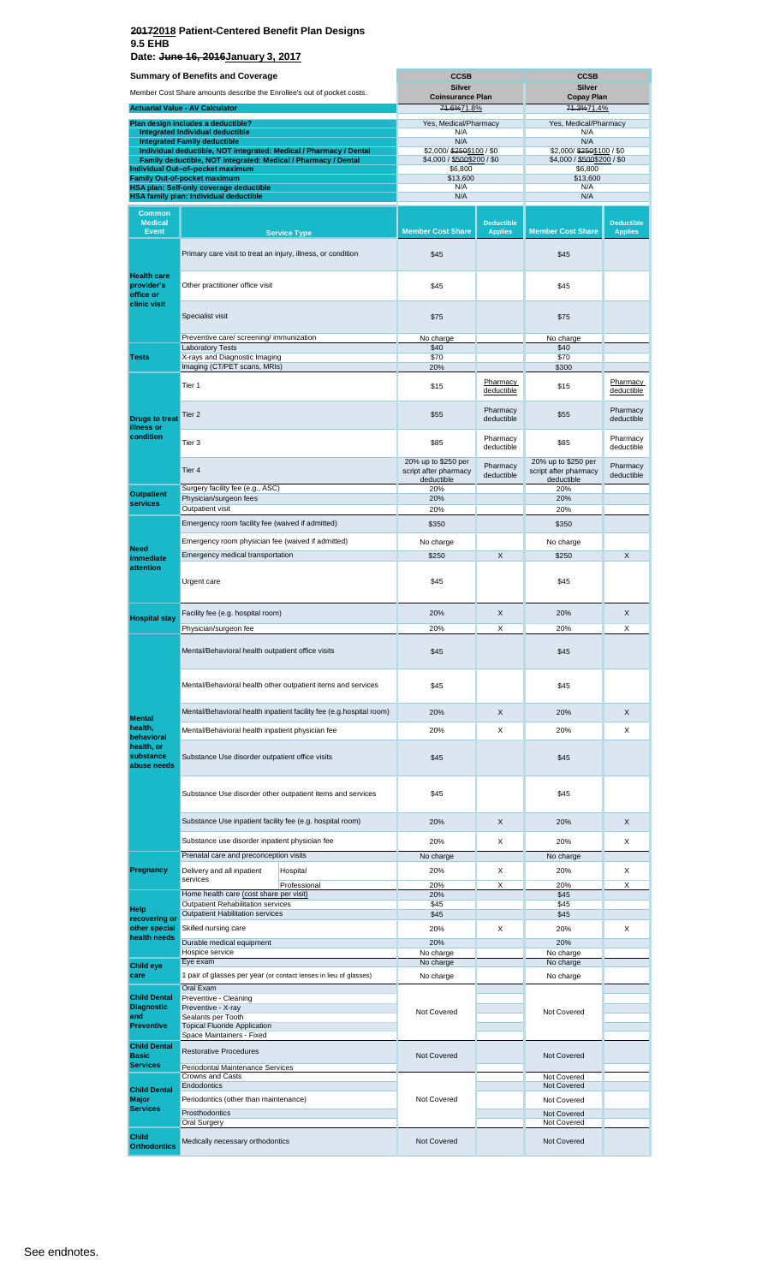**Date: June 16, 2016January 3, 2017**

|                                          | <b>Summary of Benefits and Coverage</b>                                                                   | <b>CCSB</b>                           |                                     | <b>CCSB</b>                     |                                     |
|------------------------------------------|-----------------------------------------------------------------------------------------------------------|---------------------------------------|-------------------------------------|---------------------------------|-------------------------------------|
|                                          | Member Cost Share amounts describe the Enrollee's out of pocket costs.                                    | Silver                                |                                     | <b>Silver</b>                   |                                     |
|                                          | <b>Actuarial Value - AV Calculator</b>                                                                    | <b>Coinsurance Plan</b><br>71.6%71.8% |                                     | <b>Copay Plan</b><br>74.3%71.4% |                                     |
|                                          | Plan design includes a deductible?                                                                        | Yes, Medical/Pharmacy                 |                                     | Yes, Medical/Pharmacy           |                                     |
|                                          | <b>Integrated Individual deductible</b>                                                                   | N/A                                   |                                     | N/A                             |                                     |
|                                          | <b>Integrated Family deductible</b><br>Individual deductible, NOT integrated: Medical / Pharmacy / Dental | N/A<br>\$2,000/\$250\$100/\$0         |                                     | N/A<br>\$2,000/\$250\$100/\$0   |                                     |
|                                          | Family deductible, NOT integrated: Medical / Pharmacy / Dental                                            | \$4,000 / \$500\$200 / \$0            |                                     | \$4,000 / \$500\$200 / \$0      |                                     |
|                                          | Individual Out-of-pocket maximum<br><b>Family Out-of-pocket maximum</b>                                   | \$6,800<br>\$13,600                   |                                     | \$6,800<br>\$13,600             |                                     |
|                                          | HSA plan: Self-only coverage deductible                                                                   | N/A                                   |                                     | N/A                             |                                     |
|                                          | HSA family plan: Individual deductible                                                                    | N/A                                   |                                     | N/A                             |                                     |
| <b>Common</b><br><b>Medical</b>          |                                                                                                           |                                       |                                     |                                 |                                     |
| <b>Event</b>                             | <b>Service Type</b>                                                                                       | <b>Member Cost Share</b>              | <b>Deductible</b><br><b>Applies</b> | <b>Member Cost Share</b>        | <b>Deductible</b><br><b>Applies</b> |
|                                          |                                                                                                           |                                       |                                     |                                 |                                     |
|                                          | Primary care visit to treat an injury, illness, or condition                                              | \$45                                  |                                     | \$45                            |                                     |
| <b>Health care</b>                       |                                                                                                           |                                       |                                     |                                 |                                     |
| provider's                               | Other practitioner office visit                                                                           | \$45                                  |                                     | \$45                            |                                     |
| office or<br>clinic visit                |                                                                                                           |                                       |                                     |                                 |                                     |
|                                          | Specialist visit                                                                                          | \$75                                  |                                     | \$75                            |                                     |
|                                          |                                                                                                           |                                       |                                     |                                 |                                     |
|                                          | Preventive care/ screening/ immunization<br><b>Laboratory Tests</b>                                       | No charge<br>\$40                     |                                     | No charge<br>\$40               |                                     |
| <b>Tests</b>                             | X-rays and Diagnostic Imaging                                                                             | \$70                                  |                                     | \$70                            |                                     |
|                                          | Imaging (CT/PET scans, MRIs)                                                                              | 20%                                   |                                     | \$300                           |                                     |
|                                          | Tier 1                                                                                                    | \$15                                  | Pharmacy<br>deductible              | \$15                            | Pharmacy<br>deductible              |
|                                          |                                                                                                           |                                       |                                     |                                 |                                     |
| <b>Drugs to treat</b>                    | Tier 2                                                                                                    | \$55                                  | Pharmacy<br>deductible              | \$55                            | Pharmacy<br>deductible              |
| illness or                               |                                                                                                           |                                       |                                     |                                 |                                     |
| condition                                | Tier <sub>3</sub>                                                                                         | \$85                                  | Pharmacy<br>deductible              | \$85                            | Pharmacy<br>deductible              |
|                                          |                                                                                                           | 20% up to \$250 per                   |                                     | 20% up to \$250 per             |                                     |
|                                          | Tier 4                                                                                                    | script after pharmacy                 | Pharmacy<br>deductible              | script after pharmacy           | Pharmacy<br>deductible              |
|                                          | Surgery facility fee (e.g., ASC)                                                                          | deductible<br>20%                     |                                     | deductible<br>20%               |                                     |
| <b>Outpatient</b><br>services            | Physician/surgeon fees                                                                                    | 20%                                   |                                     | 20%                             |                                     |
|                                          | Outpatient visit                                                                                          | 20%                                   |                                     | 20%                             |                                     |
|                                          | Emergency room facility fee (waived if admitted)                                                          | \$350                                 |                                     | \$350                           |                                     |
| <b>Need</b><br>immediate<br>attention    | Emergency room physician fee (waived if admitted)                                                         | No charge                             |                                     | No charge                       |                                     |
|                                          | Emergency medical transportation                                                                          | \$250                                 | $\times$                            | \$250                           | $\times$                            |
|                                          |                                                                                                           |                                       |                                     |                                 |                                     |
|                                          | Urgent care                                                                                               | \$45                                  |                                     | \$45                            |                                     |
|                                          |                                                                                                           |                                       |                                     |                                 |                                     |
| <b>Hospital stay</b>                     | Facility fee (e.g. hospital room)                                                                         | 20%                                   | X                                   | 20%                             | X                                   |
|                                          | Physician/surgeon fee                                                                                     | 20%                                   | X                                   | 20%                             | X                                   |
|                                          | Mental/Behavioral health outpatient office visits                                                         |                                       |                                     |                                 |                                     |
|                                          |                                                                                                           | \$45                                  |                                     | \$45                            |                                     |
|                                          |                                                                                                           |                                       |                                     |                                 |                                     |
|                                          | Mental/Behavioral health other outpatient items and services                                              | \$45                                  |                                     | \$45                            |                                     |
|                                          |                                                                                                           |                                       |                                     |                                 |                                     |
| <b>Mental</b>                            | Mental/Behavioral health inpatient facility fee (e.g.hospital room)                                       | 20%                                   | X                                   | 20%                             | X                                   |
| health,                                  | Mental/Behavioral health inpatient physician fee                                                          | 20%                                   | X                                   | 20%                             | X                                   |
| behavioral<br>health, or                 |                                                                                                           |                                       |                                     |                                 |                                     |
| substance                                | Substance Use disorder outpatient office visits                                                           | \$45                                  |                                     | \$45                            |                                     |
| abuse needs                              |                                                                                                           |                                       |                                     |                                 |                                     |
|                                          |                                                                                                           |                                       |                                     |                                 |                                     |
|                                          | Substance Use disorder other outpatient items and services                                                | \$45                                  |                                     | \$45                            |                                     |
|                                          | Substance Use inpatient facility fee (e.g. hospital room)                                                 | 20%                                   | X                                   | 20%                             | X                                   |
|                                          |                                                                                                           |                                       |                                     |                                 |                                     |
|                                          | Substance use disorder inpatient physician fee                                                            | 20%                                   | X                                   | 20%                             | X                                   |
|                                          | Prenatal care and preconception visits                                                                    | No charge                             |                                     | No charge                       |                                     |
| Pregnancy                                | Delivery and all inpatient<br>Hospital<br>services                                                        | 20%                                   | X                                   | 20%                             | X                                   |
|                                          | Professional<br>Home health care (cost share per visit)                                                   | 20%                                   | X                                   | 20%                             | X                                   |
|                                          | Outpatient Rehabilitation services                                                                        | 20%<br>\$45                           |                                     | \$45<br>\$45                    |                                     |
| Help<br>recovering or                    | <b>Outpatient Habilitation services</b>                                                                   | \$45                                  |                                     | \$45                            |                                     |
| other special<br>health needs            | Skilled nursing care                                                                                      | 20%                                   | X                                   | 20%                             | Х                                   |
|                                          | Durable medical equipment                                                                                 | 20%                                   |                                     | 20%                             |                                     |
|                                          | Hospice service<br>Eye exam                                                                               | No charge<br>No charge                |                                     | No charge<br>No charge          |                                     |
| <b>Child eye</b><br>care                 | 1 pair of glasses per year (or contact lenses in lieu of glasses)                                         | No charge                             |                                     | No charge                       |                                     |
|                                          | Oral Exam                                                                                                 |                                       |                                     |                                 |                                     |
| <b>Child Dental</b><br><b>Diagnostic</b> | Preventive - Cleaning<br>Preventive - X-ray                                                               |                                       |                                     |                                 |                                     |
| and                                      | Sealants per Tooth                                                                                        | Not Covered                           |                                     | Not Covered                     |                                     |
| <b>Preventive</b>                        | <b>Topical Fluoride Application</b><br>Space Maintainers - Fixed                                          |                                       |                                     |                                 |                                     |
| <b>Child Dental</b>                      |                                                                                                           |                                       |                                     |                                 |                                     |
| <b>Basic</b><br><b>Services</b>          | <b>Restorative Procedures</b>                                                                             | <b>Not Covered</b>                    |                                     | <b>Not Covered</b>              |                                     |
|                                          | Periodontal Maintenance Services<br><b>Crowns and Casts</b>                                               |                                       |                                     | Not Covered                     |                                     |
| <b>Child Dental</b>                      | Endodontics                                                                                               |                                       |                                     | Not Covered                     |                                     |
| Major                                    | Periodontics (other than maintenance)                                                                     | Not Covered                           |                                     | Not Covered                     |                                     |
| <b>Services</b>                          | Prosthodontics                                                                                            |                                       |                                     | Not Covered                     |                                     |
|                                          | Oral Surgery                                                                                              |                                       |                                     | Not Covered                     |                                     |
| <b>Child</b><br><b>Orthodontics</b>      | Medically necessary orthodontics                                                                          | Not Covered                           |                                     | Not Covered                     |                                     |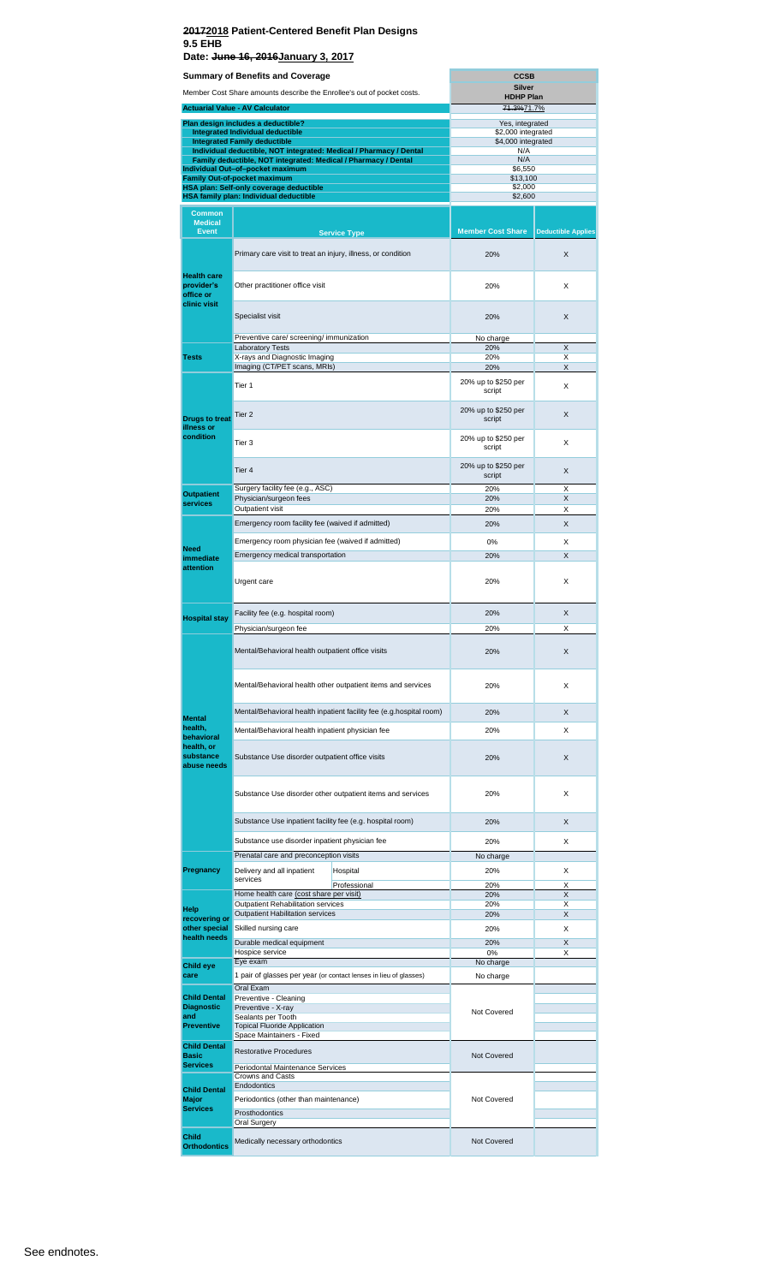|                                                                        | Summary of Benefits and Coverage                                                                                                     |                                                                     | <b>CCSB</b>                           |                           |  |  |
|------------------------------------------------------------------------|--------------------------------------------------------------------------------------------------------------------------------------|---------------------------------------------------------------------|---------------------------------------|---------------------------|--|--|
| Member Cost Share amounts describe the Enrollee's out of pocket costs. |                                                                                                                                      |                                                                     | Silver<br><b>HDHP Plan</b>            |                           |  |  |
|                                                                        | <b>Actuarial Value - AV Calculator</b>                                                                                               |                                                                     | 71.3%71.7%                            |                           |  |  |
|                                                                        |                                                                                                                                      |                                                                     |                                       |                           |  |  |
|                                                                        | Plan design includes a deductible?<br><b>Integrated Individual deductible</b>                                                        |                                                                     | Yes, integrated<br>\$2,000 integrated |                           |  |  |
|                                                                        | <b>Integrated Family deductible</b>                                                                                                  |                                                                     | \$4,000 integrated                    |                           |  |  |
|                                                                        | Individual deductible, NOT integrated: Medical / Pharmacy / Dental<br>Family deductible, NOT integrated: Medical / Pharmacy / Dental |                                                                     | N/A<br>N/A                            |                           |  |  |
|                                                                        | Individual Out-of-pocket maximum                                                                                                     |                                                                     | \$6,550                               |                           |  |  |
|                                                                        | <b>Family Out-of-pocket maximum</b>                                                                                                  |                                                                     | \$13,100                              |                           |  |  |
|                                                                        | HSA plan: Self-only coverage deductible<br>HSA family plan: Individual deductible                                                    |                                                                     | \$2,000<br>\$2,600                    |                           |  |  |
|                                                                        |                                                                                                                                      |                                                                     |                                       |                           |  |  |
| <b>Common</b><br><b>Medical</b>                                        |                                                                                                                                      |                                                                     |                                       |                           |  |  |
| <b>Event</b>                                                           |                                                                                                                                      | <b>Service Type</b>                                                 | <b>Member Cost Share</b>              | <b>Deductible Applies</b> |  |  |
|                                                                        |                                                                                                                                      |                                                                     |                                       |                           |  |  |
|                                                                        | Primary care visit to treat an injury, illness, or condition                                                                         |                                                                     | 20%                                   | X                         |  |  |
| <b>Health care</b>                                                     |                                                                                                                                      |                                                                     |                                       |                           |  |  |
| provider's                                                             | Other practitioner office visit                                                                                                      |                                                                     | 20%                                   | X                         |  |  |
| office or                                                              |                                                                                                                                      |                                                                     |                                       |                           |  |  |
| clinic visit                                                           |                                                                                                                                      |                                                                     |                                       |                           |  |  |
|                                                                        | Specialist visit                                                                                                                     |                                                                     | 20%                                   | X                         |  |  |
|                                                                        | Preventive care/ screening/ immunization                                                                                             |                                                                     | No charge                             |                           |  |  |
|                                                                        | <b>Laboratory Tests</b>                                                                                                              |                                                                     | 20%                                   | Χ                         |  |  |
| <b>Tests</b>                                                           | X-rays and Diagnostic Imaging<br>Imaging (CT/PET scans, MRIs)                                                                        |                                                                     | 20%<br>20%                            | х<br>X                    |  |  |
|                                                                        |                                                                                                                                      |                                                                     |                                       |                           |  |  |
|                                                                        | Tier <sub>1</sub>                                                                                                                    |                                                                     | 20% up to \$250 per<br>script         | х                         |  |  |
|                                                                        |                                                                                                                                      |                                                                     |                                       |                           |  |  |
| <b>Drugs to treat</b>                                                  | Tier 2                                                                                                                               |                                                                     | 20% up to \$250 per<br>script         | X                         |  |  |
| illness or                                                             |                                                                                                                                      |                                                                     |                                       |                           |  |  |
| condition                                                              | Tier 3                                                                                                                               |                                                                     | 20% up to \$250 per                   | х                         |  |  |
|                                                                        |                                                                                                                                      |                                                                     | script                                |                           |  |  |
|                                                                        | Tier 4                                                                                                                               |                                                                     | 20% up to \$250 per                   | X                         |  |  |
|                                                                        |                                                                                                                                      |                                                                     | script                                |                           |  |  |
| <b>Outpatient</b>                                                      | Surgery facility fee (e.g., ASC)                                                                                                     |                                                                     | 20%                                   | Χ                         |  |  |
| services                                                               | Physician/surgeon fees<br>Outpatient visit                                                                                           |                                                                     | 20%<br>20%                            | X<br>Х                    |  |  |
|                                                                        |                                                                                                                                      |                                                                     | 20%                                   | X                         |  |  |
|                                                                        | Emergency room facility fee (waived if admitted)                                                                                     |                                                                     |                                       |                           |  |  |
| Need                                                                   | Emergency room physician fee (waived if admitted)                                                                                    |                                                                     | 0%                                    | х                         |  |  |
| immediate                                                              | Emergency medical transportation                                                                                                     |                                                                     | 20%                                   | X                         |  |  |
| attention                                                              |                                                                                                                                      |                                                                     |                                       |                           |  |  |
|                                                                        | Urgent care                                                                                                                          |                                                                     | 20%                                   | х                         |  |  |
|                                                                        |                                                                                                                                      |                                                                     |                                       |                           |  |  |
|                                                                        | Facility fee (e.g. hospital room)                                                                                                    |                                                                     | 20%                                   | X                         |  |  |
| <b>Hospital stay</b>                                                   | Physician/surgeon fee                                                                                                                |                                                                     | 20%                                   | х                         |  |  |
|                                                                        |                                                                                                                                      |                                                                     |                                       |                           |  |  |
|                                                                        | Mental/Behavioral health outpatient office visits                                                                                    |                                                                     | 20%                                   | X                         |  |  |
|                                                                        |                                                                                                                                      |                                                                     |                                       |                           |  |  |
|                                                                        |                                                                                                                                      |                                                                     |                                       |                           |  |  |
|                                                                        | Mental/Behavioral health other outpatient items and services                                                                         |                                                                     | 20%                                   | Х                         |  |  |
|                                                                        |                                                                                                                                      |                                                                     |                                       |                           |  |  |
| <b>Mental</b>                                                          |                                                                                                                                      | Mental/Behavioral health inpatient facility fee (e.g.hospital room) | 20%                                   | X                         |  |  |
| health,                                                                | Mental/Behavioral health inpatient physician fee                                                                                     |                                                                     | 20%                                   | X                         |  |  |
| behavioral<br>health, or                                               |                                                                                                                                      |                                                                     |                                       |                           |  |  |
| substance                                                              | Substance Use disorder outpatient office visits                                                                                      |                                                                     | 20%                                   | X                         |  |  |
| abuse needs                                                            |                                                                                                                                      |                                                                     |                                       |                           |  |  |
|                                                                        |                                                                                                                                      |                                                                     |                                       |                           |  |  |
|                                                                        |                                                                                                                                      | Substance Use disorder other outpatient items and services          | 20%                                   | X                         |  |  |
|                                                                        |                                                                                                                                      |                                                                     |                                       |                           |  |  |
|                                                                        | Substance Use inpatient facility fee (e.g. hospital room)                                                                            |                                                                     | 20%                                   | X                         |  |  |
|                                                                        |                                                                                                                                      |                                                                     |                                       |                           |  |  |
|                                                                        | Substance use disorder inpatient physician fee                                                                                       |                                                                     | 20%                                   | х                         |  |  |
|                                                                        | Prenatal care and preconception visits                                                                                               |                                                                     | No charge                             |                           |  |  |
| Pregnancy                                                              | Delivery and all inpatient<br>services                                                                                               | Hospital                                                            | 20%                                   | X                         |  |  |
|                                                                        |                                                                                                                                      | Professional                                                        | 20%                                   | Χ                         |  |  |
|                                                                        | Home health care (cost share per visit)<br>Outpatient Rehabilitation services                                                        |                                                                     | 20%<br>20%                            | X<br>х                    |  |  |
| Help<br>recovering or                                                  | <b>Outpatient Habilitation services</b>                                                                                              |                                                                     | 20%                                   | X                         |  |  |
| other special                                                          | Skilled nursing care                                                                                                                 |                                                                     | 20%                                   | Х                         |  |  |
| health needs                                                           | Durable medical equipment                                                                                                            |                                                                     | 20%                                   | X                         |  |  |
|                                                                        | Hospice service                                                                                                                      |                                                                     | 0%                                    | х                         |  |  |
| Child eye                                                              | Eye exam                                                                                                                             |                                                                     | No charge                             |                           |  |  |
| care                                                                   |                                                                                                                                      | 1 pair of glasses per year (or contact lenses in lieu of glasses)   | No charge                             |                           |  |  |
| Child Dental                                                           | Oral Exam<br>Preventive - Cleaning                                                                                                   |                                                                     |                                       |                           |  |  |
| <b>Diagnostic</b>                                                      | Preventive - X-ray                                                                                                                   |                                                                     | Not Covered                           |                           |  |  |
| and<br><b>Preventive</b>                                               | Sealants per Tooth<br><b>Topical Fluoride Application</b>                                                                            |                                                                     |                                       |                           |  |  |
|                                                                        | Space Maintainers - Fixed                                                                                                            |                                                                     |                                       |                           |  |  |
| <b>Child Dental</b>                                                    | <b>Restorative Procedures</b>                                                                                                        |                                                                     |                                       |                           |  |  |
| <b>Basic</b><br><b>Services</b>                                        |                                                                                                                                      |                                                                     | Not Covered                           |                           |  |  |
|                                                                        | Periodontal Maintenance Services<br><b>Crowns and Casts</b>                                                                          |                                                                     |                                       |                           |  |  |
| <b>Child Dental</b>                                                    | Endodontics                                                                                                                          |                                                                     |                                       |                           |  |  |
| Major                                                                  | Periodontics (other than maintenance)                                                                                                |                                                                     | Not Covered                           |                           |  |  |
| <b>Services</b>                                                        | Prosthodontics                                                                                                                       |                                                                     |                                       |                           |  |  |
|                                                                        | Oral Surgery                                                                                                                         |                                                                     |                                       |                           |  |  |
| Child<br><b>Orthodontics</b>                                           | Medically necessary orthodontics                                                                                                     |                                                                     | <b>Not Covered</b>                    |                           |  |  |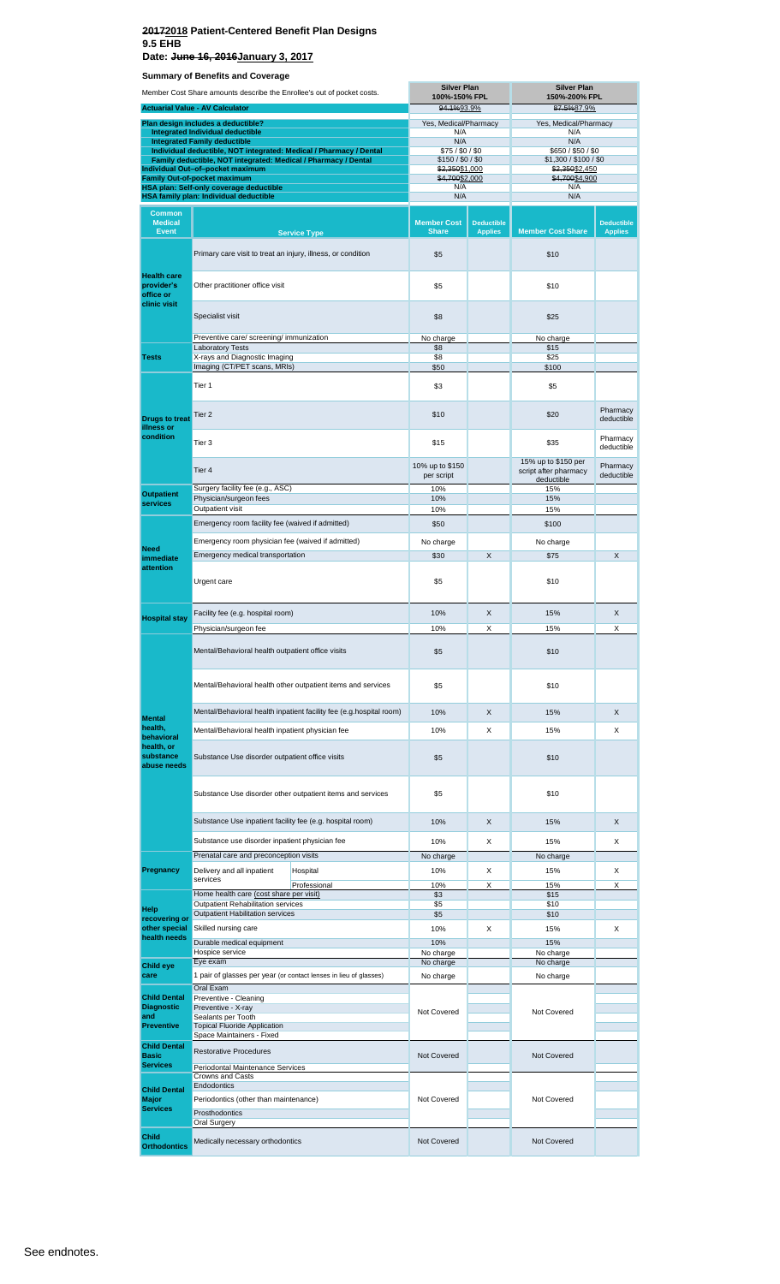**Date: June 16, 2016January 3, 2017**

| Member Cost Share amounts describe the Enrollee's out of pocket costs. |                                                                                                                                      |                                      | <b>Silver Plan</b><br>100%-150% FPL |                                                                   | <b>Silver Plan</b><br>150%-200% FPL         |                                     |
|------------------------------------------------------------------------|--------------------------------------------------------------------------------------------------------------------------------------|--------------------------------------|-------------------------------------|-------------------------------------------------------------------|---------------------------------------------|-------------------------------------|
|                                                                        | <b>Actuarial Value - AV Calculator</b>                                                                                               |                                      | 94.1%93.9%                          |                                                                   | 87.5%87.9%                                  |                                     |
|                                                                        | Plan design includes a deductible?                                                                                                   |                                      | Yes, Medical/Pharmacy               |                                                                   | Yes, Medical/Pharmacy                       |                                     |
|                                                                        | Integrated Individual deductible<br><b>Integrated Family deductible</b>                                                              |                                      | N/A<br>N/A                          |                                                                   | N/A<br>N/A                                  |                                     |
|                                                                        | Individual deductible, NOT integrated: Medical / Pharmacy / Dental<br>Family deductible, NOT integrated: Medical / Pharmacy / Dental |                                      | \$75/\$0/\$0<br>\$150 / \$0 / \$0   |                                                                   | \$650 / \$50 / \$0<br>\$1,300 / \$100 / \$0 |                                     |
|                                                                        | Individual Out-of-pocket maximum<br><b>Family Out-of-pocket maximum</b>                                                              |                                      | \$2,350\$1,000<br>\$4,700\$2,000    |                                                                   | \$2,350\$2,450<br>\$4,700\$4,900            |                                     |
|                                                                        | HSA plan: Self-only coverage deductible                                                                                              |                                      | N/A                                 |                                                                   | N/A                                         |                                     |
|                                                                        | HSA family plan: Individual deductible                                                                                               |                                      | N/A                                 |                                                                   | N/A                                         |                                     |
| <b>Common</b><br><b>Medical</b><br><b>Event</b>                        |                                                                                                                                      | <b>Service Type</b>                  | <b>Member Cost</b><br><b>Share</b>  | <b>Deductible</b><br><b>Applies</b>                               | <b>Member Cost Share</b>                    | <b>Deductible</b><br><b>Applies</b> |
|                                                                        | Primary care visit to treat an injury, illness, or condition                                                                         | \$5                                  |                                     | \$10                                                              |                                             |                                     |
| <b>Health care</b><br>provider's<br>office or                          | Other practitioner office visit                                                                                                      |                                      | \$5                                 |                                                                   | \$10                                        |                                     |
| clinic visit                                                           | Specialist visit                                                                                                                     | \$8                                  |                                     | \$25                                                              |                                             |                                     |
|                                                                        | Preventive care/ screening/ immunization                                                                                             | No charge                            |                                     | No charge                                                         |                                             |                                     |
| <b>Tests</b>                                                           | <b>Laboratory Tests</b><br>X-rays and Diagnostic Imaging                                                                             |                                      | \$8<br>\$8                          |                                                                   | \$15<br>\$25                                |                                     |
|                                                                        | Imaging (CT/PET scans, MRIs)                                                                                                         |                                      | \$50                                |                                                                   | \$100                                       |                                     |
|                                                                        | Tier 1                                                                                                                               |                                      | \$3                                 |                                                                   | \$5                                         |                                     |
| <b>Drugs to treat</b><br>illness or                                    | Tier <sub>2</sub>                                                                                                                    |                                      | \$10                                |                                                                   | \$20                                        | Pharmacy<br>deductible              |
| condition                                                              | Tier 3                                                                                                                               | \$15                                 |                                     | \$35                                                              | Pharmacy<br>deductible                      |                                     |
|                                                                        | Tier 4<br>Surgery facility fee (e.g., ASC)                                                                                           | 10% up to \$150<br>per script<br>10% |                                     | 15% up to \$150 per<br>script after pharmacy<br>deductible<br>15% | Pharmacy<br>deductible                      |                                     |
| <b>Outpatient</b><br>services                                          | Physician/surgeon fees                                                                                                               |                                      | 10%                                 |                                                                   | 15%                                         |                                     |
|                                                                        | Outpatient visit                                                                                                                     | 10%                                  |                                     | 15%                                                               |                                             |                                     |
| Need                                                                   | Emergency room facility fee (waived if admitted)                                                                                     | \$50                                 |                                     | \$100                                                             |                                             |                                     |
|                                                                        | Emergency room physician fee (waived if admitted)                                                                                    | No charge                            |                                     | No charge                                                         |                                             |                                     |
| immediate<br>attention                                                 | Emergency medical transportation                                                                                                     |                                      | \$30                                | X                                                                 | \$75                                        | X                                   |
|                                                                        | Urgent care                                                                                                                          |                                      | \$5                                 |                                                                   | \$10                                        |                                     |
| <b>Hospital stay</b>                                                   | Facility fee (e.g. hospital room)                                                                                                    |                                      | 10%                                 | X                                                                 | 15%                                         | X                                   |
|                                                                        | Physician/surgeon fee                                                                                                                | 10%                                  | х                                   | 15%                                                               | х                                           |                                     |
|                                                                        | Mental/Behavioral health outpatient office visits                                                                                    |                                      | \$5                                 |                                                                   | \$10                                        |                                     |
|                                                                        | Mental/Behavioral health other outpatient items and services                                                                         | \$5                                  |                                     | \$10                                                              |                                             |                                     |
|                                                                        | Mental/Behavioral health inpatient facility fee (e.g.hospital room)                                                                  |                                      | 10%                                 | X                                                                 | 15%                                         | X                                   |
| <b>Mental</b><br>health,                                               | Mental/Behavioral health inpatient physician fee                                                                                     |                                      | 10%                                 | X                                                                 | 15%                                         | X                                   |
| behavioral<br>health, or                                               |                                                                                                                                      |                                      |                                     |                                                                   |                                             |                                     |
| substance<br>abuse needs                                               | Substance Use disorder outpatient office visits                                                                                      |                                      | \$5                                 |                                                                   | \$10                                        |                                     |
|                                                                        | Substance Use disorder other outpatient items and services                                                                           |                                      | \$5                                 |                                                                   | \$10                                        |                                     |
|                                                                        | Substance Use inpatient facility fee (e.g. hospital room)                                                                            |                                      | 10%                                 | X                                                                 | 15%                                         | X                                   |
|                                                                        | Substance use disorder inpatient physician fee                                                                                       |                                      | 10%                                 | Х                                                                 | 15%                                         | X                                   |
|                                                                        | Prenatal care and preconception visits                                                                                               |                                      | No charge                           |                                                                   | No charge                                   |                                     |
| Pregnancy                                                              | Delivery and all inpatient<br>services                                                                                               | Hospital                             | 10%                                 | х                                                                 | 15%                                         | х                                   |
|                                                                        | Home health care (cost share per visit)                                                                                              | Professional                         | 10%<br>\$3                          | Х                                                                 | 15%<br>\$15                                 | Х                                   |
| Help                                                                   | <b>Outpatient Rehabilitation services</b>                                                                                            |                                      | \$5                                 |                                                                   | \$10                                        |                                     |
| recovering or                                                          | <b>Outpatient Habilitation services</b>                                                                                              |                                      | \$5                                 |                                                                   | \$10                                        |                                     |
| other special<br>health needs                                          | Skilled nursing care<br>Durable medical equipment                                                                                    |                                      | 10%<br>10%                          | Х                                                                 | 15%<br>15%                                  | х                                   |
|                                                                        | Hospice service                                                                                                                      |                                      | No charge                           |                                                                   | No charge                                   |                                     |
| Child eye<br>care                                                      | Eye exam<br>1 pair of glasses per year (or contact lenses in lieu of glasses)                                                        |                                      | No charge<br>No charge              |                                                                   | No charge<br>No charge                      |                                     |
|                                                                        | Oral Exam                                                                                                                            |                                      |                                     |                                                                   |                                             |                                     |
| <b>Child Dental</b><br><b>Diagnostic</b>                               | Preventive - Cleaning<br>Preventive - X-ray                                                                                          |                                      |                                     |                                                                   |                                             |                                     |
| and                                                                    | Sealants per Tooth                                                                                                                   |                                      | Not Covered                         |                                                                   | Not Covered                                 |                                     |
| <b>Preventive</b>                                                      | <b>Topical Fluoride Application</b><br>Space Maintainers - Fixed                                                                     |                                      |                                     |                                                                   |                                             |                                     |
| <b>Child Dental</b><br>Basic                                           | <b>Restorative Procedures</b>                                                                                                        |                                      | Not Covered                         |                                                                   | Not Covered                                 |                                     |
| <b>Services</b>                                                        | Periodontal Maintenance Services                                                                                                     |                                      |                                     |                                                                   |                                             |                                     |
| <b>Child Dental</b>                                                    | Crowns and Casts<br>Endodontics                                                                                                      |                                      |                                     |                                                                   |                                             |                                     |
| Major                                                                  | Periodontics (other than maintenance)                                                                                                |                                      | Not Covered                         |                                                                   | Not Covered                                 |                                     |
| <b>Services</b>                                                        | Prosthodontics<br>Oral Surgery                                                                                                       |                                      |                                     |                                                                   |                                             |                                     |
| <b>Child</b>                                                           |                                                                                                                                      |                                      |                                     |                                                                   |                                             |                                     |
| <b>Orthodontics</b>                                                    | Medically necessary orthodontics                                                                                                     |                                      | Not Covered                         |                                                                   | Not Covered                                 |                                     |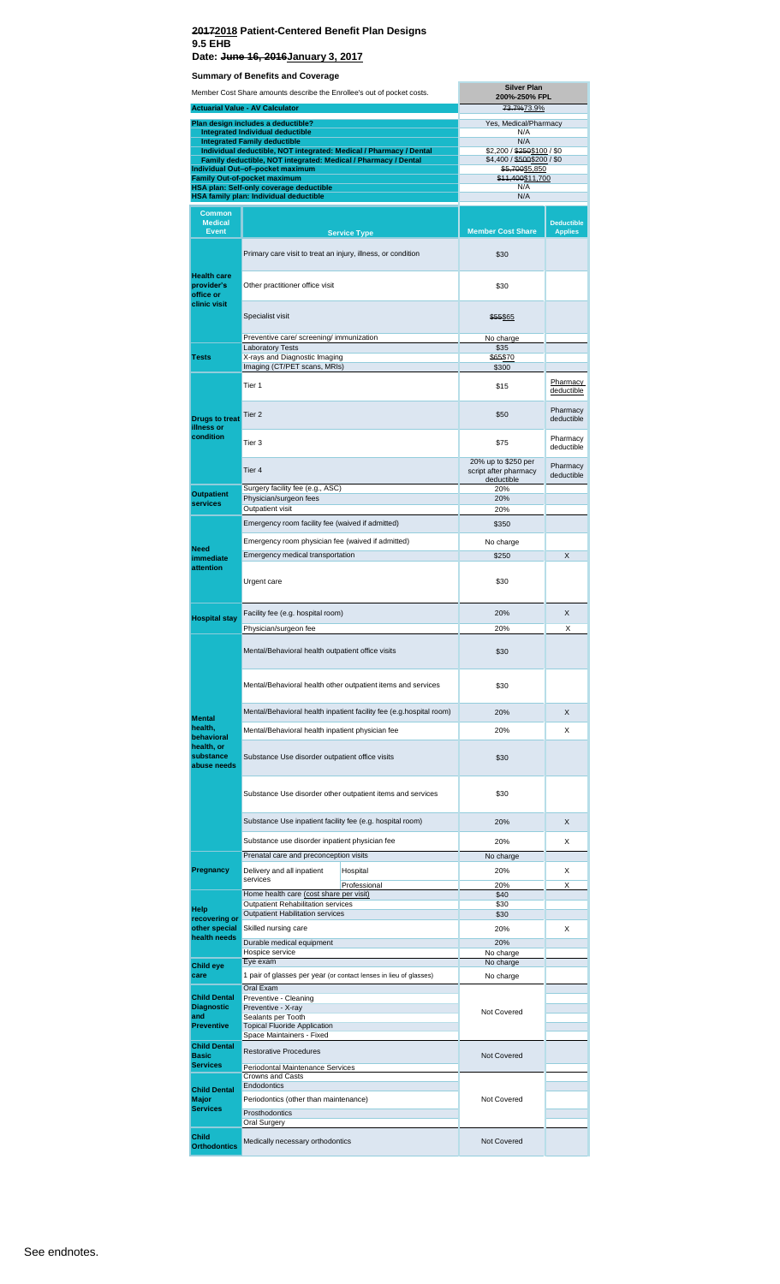| Member Cost Share amounts describe the Enrollee's out of pocket costs. |                                                                                                    |                                                                     | <b>Silver Plan</b><br>200%-250% FPL                        |                                     |  |
|------------------------------------------------------------------------|----------------------------------------------------------------------------------------------------|---------------------------------------------------------------------|------------------------------------------------------------|-------------------------------------|--|
|                                                                        | <b>Actuarial Value - AV Calculator</b>                                                             |                                                                     | 73.7%73.9%                                                 |                                     |  |
|                                                                        | Plan design includes a deductible?                                                                 |                                                                     | Yes, Medical/Pharmacy                                      |                                     |  |
|                                                                        | <b>Integrated Individual deductible</b><br><b>Integrated Family deductible</b>                     |                                                                     | N/A<br>N/A                                                 |                                     |  |
|                                                                        | Individual deductible, NOT integrated: Medical / Pharmacy / Dental                                 |                                                                     | \$2,200 / \$250\$100 / \$0                                 |                                     |  |
|                                                                        | Family deductible, NOT integrated: Medical / Pharmacy / Dental<br>Individual Out-of-pocket maximum |                                                                     | \$4,400 / \$500\$200 / \$0<br>\$5,700\$5,850               |                                     |  |
|                                                                        | Family Out-of-pocket maximum                                                                       |                                                                     | \$11,400\$11,700                                           |                                     |  |
|                                                                        | <b>HSA plan: Self-only coverage deductible</b><br><b>HSA family plan: Individual deductible</b>    |                                                                     | N/A<br>N/A                                                 |                                     |  |
|                                                                        |                                                                                                    |                                                                     |                                                            |                                     |  |
| <b>Common</b><br><b>Medical</b><br><b>Event</b>                        |                                                                                                    | <b>Service Type</b>                                                 | <b>Member Cost Share</b>                                   | <b>Deductible</b><br><b>Applies</b> |  |
|                                                                        | Primary care visit to treat an injury, illness, or condition                                       |                                                                     | \$30                                                       |                                     |  |
| <b>Health care</b><br>provider's<br>office or                          | Other practitioner office visit                                                                    |                                                                     | \$30                                                       |                                     |  |
| clinic visit                                                           | Specialist visit                                                                                   |                                                                     | \$55\$65                                                   |                                     |  |
|                                                                        | Preventive care/ screening/ immunization                                                           |                                                                     | No charge                                                  |                                     |  |
| <b>Tests</b>                                                           | <b>Laboratory Tests</b><br>X-rays and Diagnostic Imaging                                           |                                                                     | \$35<br>\$65\$70                                           |                                     |  |
|                                                                        | Imaging (CT/PET scans, MRIs)                                                                       |                                                                     | \$300                                                      |                                     |  |
|                                                                        | Tier 1                                                                                             |                                                                     | \$15                                                       | Pharmacy<br>deductible              |  |
| <b>Drugs to treat</b><br>illness or<br>condition                       | Tier 2                                                                                             |                                                                     | \$50                                                       | Pharmacy<br>deductible              |  |
|                                                                        | Tier 3                                                                                             |                                                                     | \$75                                                       | Pharmacy<br>deductible              |  |
|                                                                        | Tier 4                                                                                             |                                                                     | 20% up to \$250 per<br>script after pharmacy<br>deductible | Pharmacy<br>deductible              |  |
| <b>Outpatient</b><br>services                                          | Surgery facility fee (e.g., ASC)<br>Physician/surgeon fees<br>Outpatient visit                     |                                                                     | 20%<br>20%<br>20%                                          |                                     |  |
|                                                                        | Emergency room facility fee (waived if admitted)                                                   |                                                                     | \$350                                                      |                                     |  |
|                                                                        | Emergency room physician fee (waived if admitted)                                                  | No charge                                                           |                                                            |                                     |  |
| <b>Need</b>                                                            | Emergency medical transportation                                                                   |                                                                     | \$250                                                      | X                                   |  |
| immediate<br>attention                                                 |                                                                                                    |                                                                     |                                                            |                                     |  |
|                                                                        | Urgent care                                                                                        |                                                                     | \$30                                                       |                                     |  |
|                                                                        | Facility fee (e.g. hospital room)                                                                  |                                                                     | 20%                                                        | X                                   |  |
| <b>Hospital stay</b>                                                   | Physician/surgeon fee                                                                              |                                                                     | 20%                                                        | х                                   |  |
|                                                                        | Mental/Behavioral health outpatient office visits                                                  |                                                                     | \$30                                                       |                                     |  |
|                                                                        | Mental/Behavioral health other outpatient items and services                                       | \$30                                                                |                                                            |                                     |  |
|                                                                        |                                                                                                    | Mental/Behavioral health inpatient facility fee (e.g.hospital room) | 20%                                                        | X                                   |  |
| <b>Mental</b><br>health,                                               | Mental/Behavioral health inpatient physician fee                                                   |                                                                     | 20%                                                        | X                                   |  |
| behavioral<br>health, or<br>substance                                  | Substance Use disorder outpatient office visits                                                    | \$30                                                                |                                                            |                                     |  |
| abuse needs                                                            |                                                                                                    |                                                                     |                                                            |                                     |  |
|                                                                        | Substance Use disorder other outpatient items and services                                         | \$30                                                                |                                                            |                                     |  |
|                                                                        | Substance Use inpatient facility fee (e.g. hospital room)                                          |                                                                     | 20%                                                        | X                                   |  |
|                                                                        | Substance use disorder inpatient physician fee                                                     |                                                                     | 20%                                                        | X                                   |  |
|                                                                        | Prenatal care and preconception visits                                                             |                                                                     | No charge                                                  |                                     |  |
| Pregnancy                                                              | Delivery and all inpatient                                                                         | Hospital                                                            | 20%                                                        | X                                   |  |
|                                                                        | services                                                                                           | Professional                                                        | 20%                                                        | X                                   |  |
|                                                                        | Home health care (cost share per visit)<br>Outpatient Rehabilitation services                      |                                                                     | \$40<br>\$30                                               |                                     |  |
| Help<br>recovering or                                                  | <b>Outpatient Habilitation services</b>                                                            |                                                                     | \$30                                                       |                                     |  |
| other special                                                          | Skilled nursing care                                                                               |                                                                     | 20%                                                        | Χ                                   |  |
| health needs                                                           | Durable medical equipment                                                                          |                                                                     | 20%                                                        |                                     |  |
|                                                                        | Hospice service                                                                                    |                                                                     | No charge                                                  |                                     |  |
| Child eye<br>care                                                      | Eye exam                                                                                           | 1 pair of glasses per year (or contact lenses in lieu of glasses)   | No charge<br>No charge                                     |                                     |  |
|                                                                        | Oral Exam                                                                                          |                                                                     |                                                            |                                     |  |
| <b>Child Dental</b>                                                    | Preventive - Cleaning                                                                              |                                                                     |                                                            |                                     |  |
| <b>Diagnostic</b><br>and                                               | Preventive - X-ray<br>Sealants per Tooth                                                           |                                                                     | Not Covered                                                |                                     |  |
| <b>Preventive</b>                                                      | <b>Topical Fluoride Application</b>                                                                |                                                                     |                                                            |                                     |  |
|                                                                        | Space Maintainers - Fixed                                                                          |                                                                     |                                                            |                                     |  |
| <b>Child Dental</b><br><b>Basic</b>                                    | <b>Restorative Procedures</b>                                                                      |                                                                     | <b>Not Covered</b>                                         |                                     |  |
| <b>Services</b>                                                        | Periodontal Maintenance Services<br>Crowns and Casts                                               |                                                                     |                                                            |                                     |  |
| <b>Child Dental</b>                                                    | Endodontics                                                                                        |                                                                     |                                                            |                                     |  |
| Major                                                                  | Periodontics (other than maintenance)                                                              |                                                                     | Not Covered                                                |                                     |  |
| <b>Services</b>                                                        | Prosthodontics<br>Oral Surgery                                                                     |                                                                     |                                                            |                                     |  |
|                                                                        |                                                                                                    |                                                                     |                                                            |                                     |  |
| <b>Child</b><br><b>Orthodontics</b>                                    | Medically necessary orthodontics                                                                   |                                                                     | Not Covered                                                |                                     |  |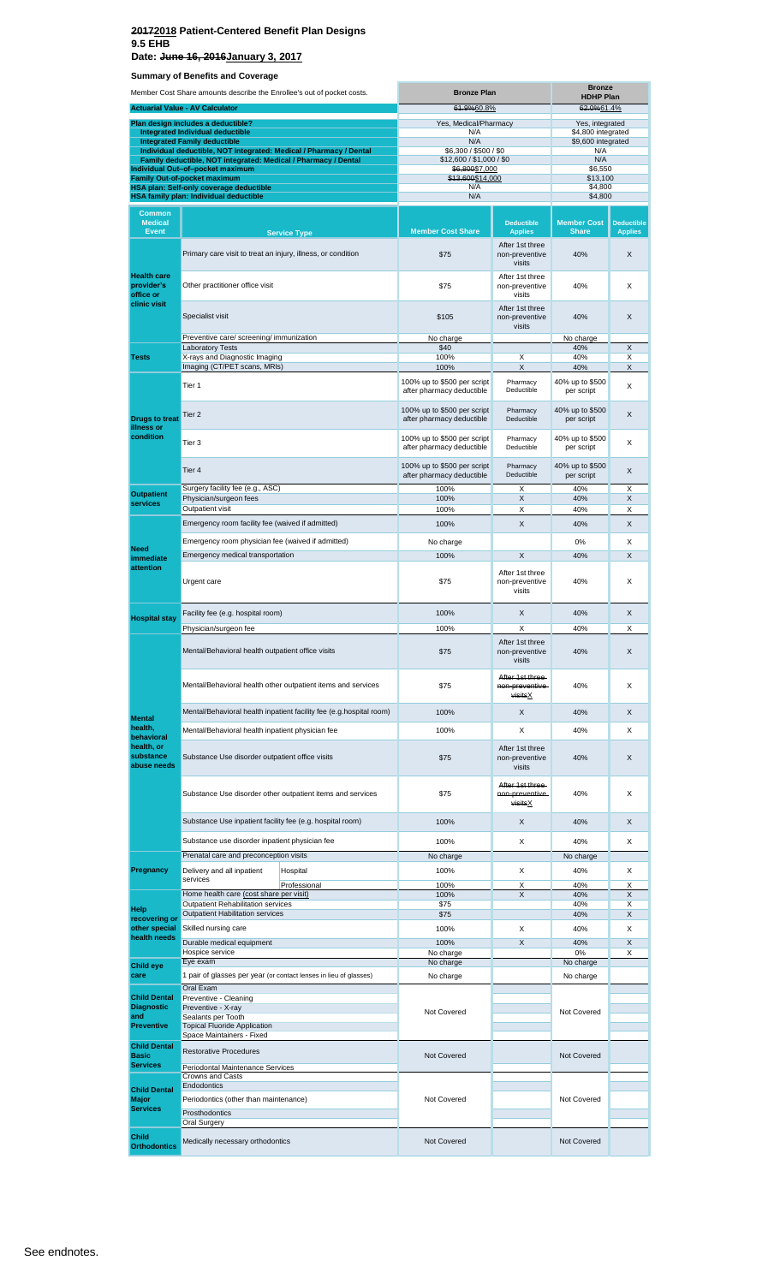**Date: June 16, 2016January 3, 2017**

| Member Cost Share amounts describe the Enrollee's out of pocket costs. |                                                                                                                                      | <b>Bronze Plan</b>                                                  | <b>Bronze</b><br><b>HDHP Plan</b>                        |                                                        |                                          |                                     |
|------------------------------------------------------------------------|--------------------------------------------------------------------------------------------------------------------------------------|---------------------------------------------------------------------|----------------------------------------------------------|--------------------------------------------------------|------------------------------------------|-------------------------------------|
|                                                                        | <b>Actuarial Value - AV Calculator</b>                                                                                               |                                                                     | 61.9%60.8%                                               |                                                        | 62.0%61.4%                               |                                     |
|                                                                        | Plan design includes a deductible?                                                                                                   |                                                                     | Yes, Medical/Pharmacy                                    |                                                        | Yes, integrated                          |                                     |
|                                                                        | <b>Integrated Individual deductible</b><br><b>Integrated Family deductible</b>                                                       |                                                                     | N/A<br>N/A                                               |                                                        | \$4,800 integrated<br>\$9,600 integrated |                                     |
|                                                                        | Individual deductible, NOT integrated: Medical / Pharmacy / Dental<br>Family deductible, NOT integrated: Medical / Pharmacy / Dental |                                                                     | \$6,300 / \$500 / \$0<br>\$12,600 / \$1,000 / \$0        |                                                        | N/A<br>N/A                               |                                     |
|                                                                        | Individual Out-of-pocket maximum                                                                                                     |                                                                     | \$6,800\$7,000                                           |                                                        | \$6,550                                  |                                     |
|                                                                        | Family Out-of-pocket maximum<br>HSA plan: Self-only coverage deductible                                                              |                                                                     | \$13,600\$14,000<br>N/A                                  |                                                        | \$13,100<br>\$4,800                      |                                     |
|                                                                        | <b>HSA family plan: Individual deductible</b>                                                                                        |                                                                     | N/A                                                      |                                                        | \$4,800                                  |                                     |
| <b>Common</b>                                                          |                                                                                                                                      |                                                                     |                                                          |                                                        |                                          |                                     |
| <b>Medical</b><br><b>Event</b>                                         |                                                                                                                                      | <b>Service Type</b>                                                 | <b>Member Cost Share</b>                                 | <b>Deductible</b><br><b>Applies</b><br>After 1st three | <b>Member Cost</b><br><b>Share</b>       | <b>Deductible</b><br><b>Applies</b> |
|                                                                        | Primary care visit to treat an injury, illness, or condition                                                                         |                                                                     | \$75                                                     | non-preventive<br>visits                               | 40%                                      | X                                   |
| <b>Health care</b><br>provider's<br>office or                          | Other practitioner office visit                                                                                                      |                                                                     | \$75                                                     | After 1st three<br>non-preventive<br>visits            | 40%                                      | X                                   |
| clinic visit                                                           | Specialist visit                                                                                                                     |                                                                     | \$105                                                    | After 1st three<br>non-preventive<br>visits            | 40%                                      | X                                   |
|                                                                        | Preventive care/ screening/ immunization                                                                                             |                                                                     | No charge                                                |                                                        | No charge                                |                                     |
| <b>Tests</b>                                                           | <b>Laboratory Tests</b><br>X-rays and Diagnostic Imaging                                                                             |                                                                     | \$40<br>100%                                             | X                                                      | 40%<br>40%                               | X<br>X                              |
|                                                                        | Imaging (CT/PET scans, MRIs)                                                                                                         |                                                                     | 100%                                                     | X                                                      | 40%                                      | X                                   |
|                                                                        | Tier 1                                                                                                                               |                                                                     | 100% up to \$500 per script<br>after pharmacy deductible | Pharmacy<br>Deductible                                 | 40% up to \$500<br>per script            | Χ                                   |
| <b>Drugs to treat</b><br>illness or                                    | Tier 2                                                                                                                               |                                                                     | 100% up to \$500 per script<br>after pharmacy deductible | Pharmacy<br>Deductible                                 | 40% up to \$500<br>per script            | X                                   |
| condition                                                              | Tier 3                                                                                                                               |                                                                     | 100% up to \$500 per script<br>after pharmacy deductible | Pharmacy<br>Deductible                                 | 40% up to \$500<br>per script            | X                                   |
|                                                                        | Tier 4                                                                                                                               |                                                                     | 100% up to \$500 per script<br>after pharmacy deductible | Pharmacy<br>Deductible                                 | 40% up to \$500<br>per script            | X                                   |
| <b>Outpatient</b>                                                      | Surgery facility fee (e.g., ASC)<br>Physician/surgeon fees                                                                           |                                                                     | 100%<br>100%                                             | X<br>$\boldsymbol{\mathsf{X}}$                         | 40%<br>40%                               | Χ<br>X                              |
| services                                                               | Outpatient visit                                                                                                                     |                                                                     | 100%                                                     | X                                                      | 40%                                      | X                                   |
|                                                                        | Emergency room facility fee (waived if admitted)                                                                                     |                                                                     | 100%                                                     | X                                                      | 40%                                      | X                                   |
|                                                                        | Emergency room physician fee (waived if admitted)                                                                                    |                                                                     | No charge                                                |                                                        | 0%                                       | Χ                                   |
| <b>Need</b>                                                            | Emergency medical transportation                                                                                                     |                                                                     | 100%                                                     | X                                                      | 40%                                      | X                                   |
| immediate<br>attention                                                 | Urgent care                                                                                                                          |                                                                     | \$75                                                     | After 1st three<br>non-preventive<br>visits            | 40%                                      | X                                   |
|                                                                        | Facility fee (e.g. hospital room)                                                                                                    |                                                                     | 100%                                                     | X                                                      | 40%                                      | X                                   |
| <b>Hospital stay</b>                                                   | Physician/surgeon fee                                                                                                                |                                                                     | 100%                                                     | X                                                      | 40%                                      | X                                   |
|                                                                        | Mental/Behavioral health outpatient office visits                                                                                    |                                                                     | \$75                                                     | After 1st three<br>non-preventive<br>visits            | 40%                                      | X                                   |
|                                                                        |                                                                                                                                      | Mental/Behavioral health other outpatient items and services        | \$75                                                     | After 1st three-<br>non-preventive<br>visitsX          | 40%                                      | X                                   |
|                                                                        |                                                                                                                                      | Mental/Behavioral health inpatient facility fee (e.g.hospital room) | 100%                                                     | $\sf X$                                                | 40%                                      | X                                   |
| <b>Mental</b><br>health,                                               |                                                                                                                                      |                                                                     |                                                          |                                                        |                                          |                                     |
| behavioral                                                             | Mental/Behavioral health inpatient physician fee                                                                                     |                                                                     | 100%                                                     | X                                                      | 40%                                      | X                                   |
| health, or<br>substance<br>abuse needs                                 | Substance Use disorder outpatient office visits                                                                                      |                                                                     | \$75                                                     | After 1st three<br>non-preventive<br>visits            | 40%                                      | X                                   |
|                                                                        |                                                                                                                                      | Substance Use disorder other outpatient items and services          | \$75                                                     | After 1st three-<br>non-preventive-<br>visitsX         | 40%                                      | X                                   |
|                                                                        | Substance Use inpatient facility fee (e.g. hospital room)                                                                            |                                                                     | 100%                                                     | X                                                      | 40%                                      | X                                   |
|                                                                        | Substance use disorder inpatient physician fee                                                                                       |                                                                     | 100%                                                     | X                                                      | 40%                                      | X                                   |
|                                                                        | Prenatal care and preconception visits                                                                                               |                                                                     | No charge                                                |                                                        | No charge                                |                                     |
| Pregnancy                                                              | Delivery and all inpatient                                                                                                           | Hospital                                                            | 100%                                                     | X                                                      | 40%                                      | X                                   |
|                                                                        | services                                                                                                                             | Professional                                                        | 100%                                                     | Х                                                      | 40%                                      | Х                                   |
|                                                                        | Home health care (cost share per visit)                                                                                              |                                                                     | 100%                                                     | X                                                      | 40%                                      | X                                   |
| <b>Help</b>                                                            | Outpatient Rehabilitation services<br><b>Outpatient Habilitation services</b>                                                        |                                                                     | \$75<br>\$75                                             |                                                        | 40%<br>40%                               | X<br>X                              |
| recovering or<br>other special                                         | Skilled nursing care                                                                                                                 |                                                                     | 100%                                                     | X                                                      | 40%                                      | X                                   |
| health needs                                                           | Durable medical equipment                                                                                                            |                                                                     | 100%                                                     | $\sf X$                                                | 40%                                      | X                                   |
|                                                                        | Hospice service                                                                                                                      |                                                                     | No charge                                                |                                                        | 0%                                       | Х                                   |
| <b>Child eye</b>                                                       | Eye exam                                                                                                                             |                                                                     | No charge                                                |                                                        | No charge                                |                                     |
| care                                                                   | 1 pair of glasses per year (or contact lenses in lieu of glasses)<br>Oral Exam                                                       |                                                                     | No charge                                                |                                                        | No charge                                |                                     |
| <b>Child Dental</b>                                                    | Preventive - Cleaning                                                                                                                |                                                                     |                                                          |                                                        |                                          |                                     |
| <b>Diagnostic</b><br>and<br><b>Preventive</b>                          | Preventive - X-ray<br>Sealants per Tooth<br><b>Topical Fluoride Application</b>                                                      |                                                                     | Not Covered                                              |                                                        | Not Covered                              |                                     |
| <b>Child Dental</b>                                                    | Space Maintainers - Fixed                                                                                                            |                                                                     |                                                          |                                                        |                                          |                                     |
| <b>Basic</b>                                                           | <b>Restorative Procedures</b>                                                                                                        |                                                                     | <b>Not Covered</b>                                       |                                                        | Not Covered                              |                                     |
| <b>Services</b>                                                        | Periodontal Maintenance Services                                                                                                     |                                                                     |                                                          |                                                        |                                          |                                     |
| <b>Child Dental</b>                                                    | Crowns and Casts<br>Endodontics                                                                                                      |                                                                     |                                                          |                                                        |                                          |                                     |
| <b>Major</b>                                                           | Periodontics (other than maintenance)                                                                                                |                                                                     | Not Covered                                              |                                                        | Not Covered                              |                                     |
| <b>Services</b>                                                        | Prosthodontics                                                                                                                       |                                                                     |                                                          |                                                        |                                          |                                     |
|                                                                        | <b>Oral Surgery</b>                                                                                                                  |                                                                     |                                                          |                                                        |                                          |                                     |
| <b>Child</b><br><b>Orthodontics</b>                                    | Medically necessary orthodontics                                                                                                     |                                                                     | Not Covered                                              |                                                        | Not Covered                              |                                     |